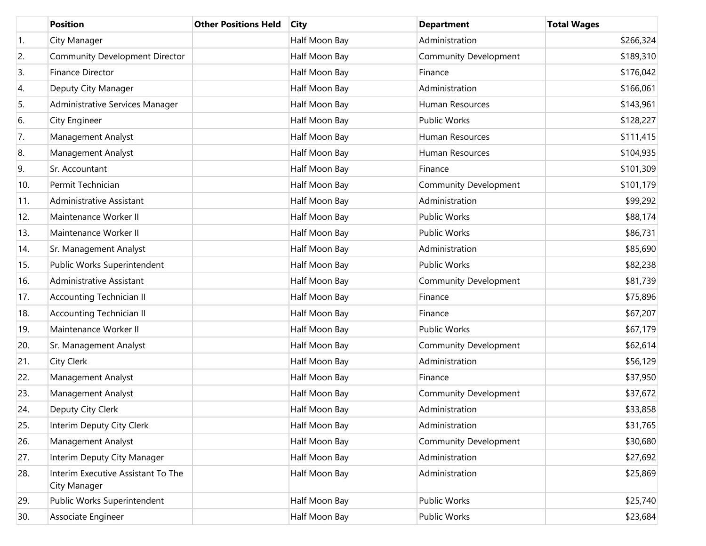|     | <b>Position</b>                                    | <b>Other Positions Held</b> | <b>City</b>   | <b>Department</b>            | <b>Total Wages</b> |
|-----|----------------------------------------------------|-----------------------------|---------------|------------------------------|--------------------|
| 1.  | City Manager                                       |                             | Half Moon Bay | Administration               | \$266,324          |
| 2.  | Community Development Director                     |                             | Half Moon Bay | <b>Community Development</b> | \$189,310          |
| 3.  | <b>Finance Director</b>                            |                             | Half Moon Bay | Finance                      | \$176,042          |
| 4.  | Deputy City Manager                                |                             | Half Moon Bay | Administration               | \$166,061          |
| 5.  | Administrative Services Manager                    |                             | Half Moon Bay | Human Resources              | \$143,961          |
| 6.  | City Engineer                                      |                             | Half Moon Bay | Public Works                 | \$128,227          |
| 7.  | Management Analyst                                 |                             | Half Moon Bay | Human Resources              | \$111,415          |
| 8.  | Management Analyst                                 |                             | Half Moon Bay | Human Resources              | \$104,935          |
| 9.  | Sr. Accountant                                     |                             | Half Moon Bay | Finance                      | \$101,309          |
| 10. | Permit Technician                                  |                             | Half Moon Bay | <b>Community Development</b> | \$101,179          |
| 11. | Administrative Assistant                           |                             | Half Moon Bay | Administration               | \$99,292           |
| 12. | Maintenance Worker II                              |                             | Half Moon Bay | Public Works                 | \$88,174           |
| 13. | Maintenance Worker II                              |                             | Half Moon Bay | <b>Public Works</b>          | \$86,731           |
| 14. | Sr. Management Analyst                             |                             | Half Moon Bay | Administration               | \$85,690           |
| 15. | Public Works Superintendent                        |                             | Half Moon Bay | <b>Public Works</b>          | \$82,238           |
| 16. | Administrative Assistant                           |                             | Half Moon Bay | <b>Community Development</b> | \$81,739           |
| 17. | <b>Accounting Technician II</b>                    |                             | Half Moon Bay | Finance                      | \$75,896           |
| 18. | <b>Accounting Technician II</b>                    |                             | Half Moon Bay | Finance                      | \$67,207           |
| 19. | Maintenance Worker II                              |                             | Half Moon Bay | <b>Public Works</b>          | \$67,179           |
| 20. | Sr. Management Analyst                             |                             | Half Moon Bay | <b>Community Development</b> | \$62,614           |
| 21. | City Clerk                                         |                             | Half Moon Bay | Administration               | \$56,129           |
| 22. | Management Analyst                                 |                             | Half Moon Bay | Finance                      | \$37,950           |
| 23. | <b>Management Analyst</b>                          |                             | Half Moon Bay | <b>Community Development</b> | \$37,672           |
| 24. | Deputy City Clerk                                  |                             | Half Moon Bay | Administration               | \$33,858           |
| 25. | Interim Deputy City Clerk                          |                             | Half Moon Bay | Administration               | \$31,765           |
| 26. | Management Analyst                                 |                             | Half Moon Bay | <b>Community Development</b> | \$30,680           |
| 27. | Interim Deputy City Manager                        |                             | Half Moon Bay | Administration               | \$27,692           |
| 28. | Interim Executive Assistant To The<br>City Manager |                             | Half Moon Bay | Administration               | \$25,869           |
| 29. | Public Works Superintendent                        |                             | Half Moon Bay | Public Works                 | \$25,740           |
| 30. | Associate Engineer                                 |                             | Half Moon Bay | Public Works                 | \$23,684           |